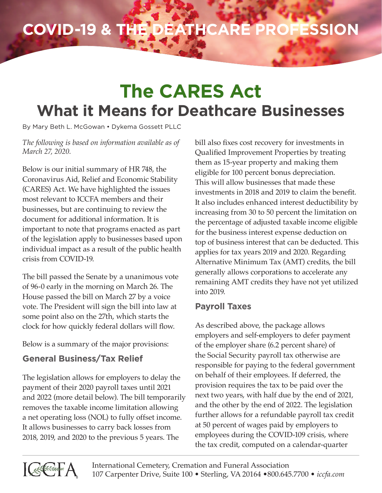# **The CARES Act What it Means for Deathcare Businesses**

By Mary Beth L. McGowan • Dykema Gossett PLLC

*The following is based on information available as of March 27, 2020.*

Below is our initial summary of HR 748, the Coronavirus Aid, Relief and Economic Stability (CARES) Act. We have highlighted the issues most relevant to ICCFA members and their businesses, but are continuing to review the document for additional information. It is important to note that programs enacted as part of the legislation apply to businesses based upon individual impact as a result of the public health crisis from COVID-19.

The bill passed the Senate by a unanimous vote of 96-0 early in the morning on March 26. The House passed the bill on March 27 by a voice vote. The President will sign the bill into law at some point also on the 27th, which starts the clock for how quickly federal dollars will flow.

Below is a summary of the major provisions:

## **General Business/Tax Relief**

The legislation allows for employers to delay the payment of their 2020 payroll taxes until 2021 and 2022 (more detail below). The bill temporarily removes the taxable income limitation allowing a net operating loss (NOL) to fully offset income. It allows businesses to carry back losses from 2018, 2019, and 2020 to the previous 5 years. The

bill also fixes cost recovery for investments in Qualified Improvement Properties by treating them as 15-year property and making them eligible for 100 percent bonus depreciation. This will allow businesses that made these investments in 2018 and 2019 to claim the benefit. It also includes enhanced interest deductibility by increasing from 30 to 50 percent the limitation on the percentage of adjusted taxable income eligible for the business interest expense deduction on top of business interest that can be deducted. This applies for tax years 2019 and 2020. Regarding Alternative Minimum Tax (AMT) credits, the bill generally allows corporations to accelerate any remaining AMT credits they have not yet utilized into 2019.

#### **Payroll Taxes**

As described above, the package allows employers and self-employers to defer payment of the employer share (6.2 percent share) of the Social Security payroll tax otherwise are responsible for paying to the federal government on behalf of their employees. If deferred, the provision requires the tax to be paid over the next two years, with half due by the end of 2021, and the other by the end of 2022. The legislation further allows for a refundable payroll tax credit at 50 percent of wages paid by employers to employees during the COVID-109 crisis, where the tax credit, computed on a calendar-quarter

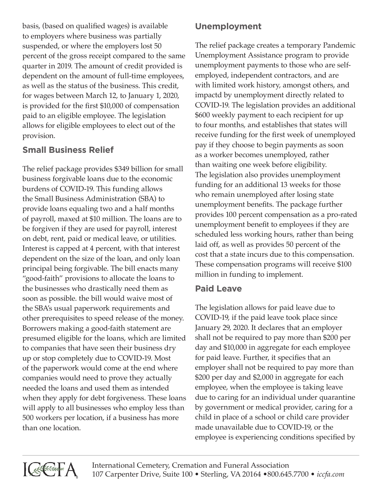basis, (based on qualified wages) is available to employers where business was partially suspended, or where the employers lost 50 percent of the gross receipt compared to the same quarter in 2019. The amount of credit provided is dependent on the amount of full-time employees, as well as the status of the business. This credit, for wages between March 12, to January 1, 2020, is provided for the first \$10,000 of compensation paid to an eligible employee. The legislation allows for eligible employees to elect out of the provision.

# **Small Business Relief**

The relief package provides \$349 billion for small business forgivable loans due to the economic burdens of COVID-19. This funding allows the Small Business Administration (SBA) to provide loans equaling two and a half months of payroll, maxed at \$10 million. The loans are to be forgiven if they are used for payroll, interest on debt, rent, paid or medical leave, or utilities. Interest is capped at 4 percent, with that interest dependent on the size of the loan, and only loan principal being forgivable. The bill enacts many "good-faith" provisions to allocate the loans to the businesses who drastically need them as soon as possible. the bill would waive most of the SBA's usual paperwork requirements and other prerequisites to speed release of the money. Borrowers making a good-faith statement are presumed eligible for the loans, which are limited to companies that have seen their business dry up or stop completely due to COVID-19. Most of the paperwork would come at the end where companies would need to prove they actually needed the loans and used them as intended when they apply for debt forgiveness. These loans will apply to all businesses who employ less than 500 workers per location, if a business has more than one location.

# **Unemployment**

The relief package creates a temporary Pandemic Unemployment Assistance program to provide unemployment payments to those who are selfemployed, independent contractors, and are with limited work history, amongst others, and impactd by unemployment directly related to COVID-19. The legislation provides an additional \$600 weekly payment to each recipient for up to four months, and establishes that states will receive funding for the first week of unemployed pay if they choose to begin payments as soon as a worker becomes unemployed, rather than waiting one week before eligibility. The legislation also provides unemployment funding for an additional 13 weeks for those who remain unemployed after losing state unemployment benefits. The package further provides 100 percent compensation as a pro-rated unemployment benefit to employees if they are scheduled less working hours, rather than being laid off, as well as provides 50 percent of the cost that a state incurs due to this compensation. These compensation programs will receive \$100 million in funding to implement.

## **Paid Leave**

The legislation allows for paid leave due to COVID-19, if the paid leave took place since January 29, 2020. It declares that an employer shall not be required to pay more than \$200 per day and \$10,000 in aggregate for each employee for paid leave. Further, it specifies that an employer shall not be required to pay more than \$200 per day and \$2,000 in aggregate for each employee, when the employee is taking leave due to caring for an individual under quarantine by government or medical provider, caring for a child in place of a school or child care provider made unavailable due to COVID-19, or the employee is experiencing conditions specified by

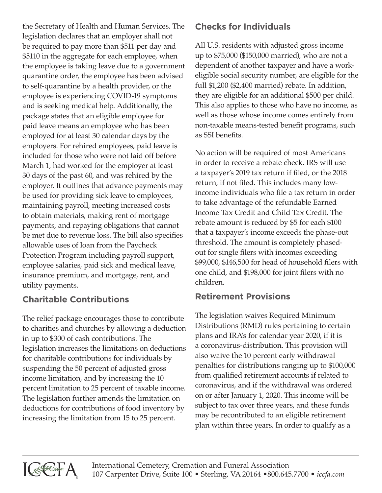the Secretary of Health and Human Services. The legislation declares that an employer shall not be required to pay more than \$511 per day and \$5110 in the aggregate for each employee, when the employee is taking leave due to a government quarantine order, the employee has been advised to self-quarantine by a health provider, or the employee is experiencing COVID-19 symptoms and is seeking medical help. Additionally, the package states that an eligible employee for paid leave means an employee who has been employed for at least 30 calendar days by the employers. For rehired employees, paid leave is included for those who were not laid off before March 1, had worked for the employer at least 30 days of the past 60, and was rehired by the employer. It outlines that advance payments may be used for providing sick leave to employees, maintaining payroll, meeting increased costs to obtain materials, making rent of mortgage payments, and repaying obligations that cannot be met due to revenue loss. The bill also specifies allowable uses of loan from the Paycheck Protection Program including payroll support, employee salaries, paid sick and medical leave, insurance premium, and mortgage, rent, and utility payments.

## **Charitable Contributions**

The relief package encourages those to contribute to charities and churches by allowing a deduction in up to \$300 of cash contributions. The legislation increases the limitations on deductions for charitable contributions for individuals by suspending the 50 percent of adjusted gross income limitation, and by increasing the 10 percent limitation to 25 percent of taxable income. The legislation further amends the limitation on deductions for contributions of food inventory by increasing the limitation from 15 to 25 percent.

#### **Checks for Individuals**

All U.S. residents with adjusted gross income up to \$75,000 (\$150,000 married), who are not a dependent of another taxpayer and have a workeligible social security number, are eligible for the full \$1,200 (\$2,400 married) rebate. In addition, they are eligible for an additional \$500 per child. This also applies to those who have no income, as well as those whose income comes entirely from non-taxable means-tested benefit programs, such as SSI benefits.

No action will be required of most Americans in order to receive a rebate check. IRS will use a taxpayer's 2019 tax return if filed, or the 2018 return, if not filed. This includes many lowincome individuals who file a tax return in order to take advantage of the refundable Earned Income Tax Credit and Child Tax Credit. The rebate amount is reduced by \$5 for each \$100 that a taxpayer's income exceeds the phase-out threshold. The amount is completely phasedout for single filers with incomes exceeding \$99,000, \$146,500 for head of household filers with one child, and \$198,000 for joint filers with no children.

#### **Retirement Provisions**

The legislation waives Required Minimum Distributions (RMD) rules pertaining to certain plans and IRA's for calendar year 2020, if it is a coronavirus-distribution. This provision will also waive the 10 percent early withdrawal penalties for distributions ranging up to \$100,000 from qualified retirement accounts if related to coronavirus, and if the withdrawal was ordered on or after January 1, 2020. This income will be subject to tax over three years, and these funds may be recontributed to an eligible retirement plan within three years. In order to qualify as a